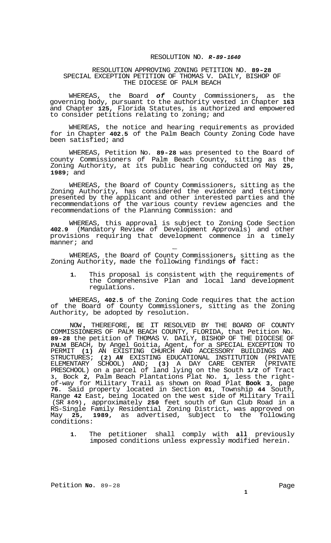## RESOLUTION NO. *R-89-1640*

## RESOLUTION APPROVING ZONING PETITION NO. **89-28**  SPECIAL EXCEPTION PETITION OF THOMAS V. DAILY, BISHOP OF THE DIOCESE OF PALM BEACH

WHEREAS, the Board *of* County Commissioners, as the governing body, pursuant to the authority vested in Chapter **163**  and Chapter **125,** Florida Statutes, is authorized and empowered to consider petitions relating to zoning; and

WHEREAS, the notice and hearing requirements as provided for in Chapter **402.5** of the Palm Beach County Zoning Code have been satisfied; and

WHEREAS, Petition No. **89-28** was presented to the Board of county Commissioners of Palm Beach County, sitting as the Zoning Authority, at its public hearing conducted on May **25, 1989;** and

WHEREAS, the Board of County Commissioners, sitting as the Zoning Authority, has considered the evidence and testimony presented by the applicant and other interested parties and the recommendations of the various county review agencies and the recommendations of the Planning Commission: and

WHEREAS, this approval is subject to Zoning Code Section **402.9** (Mandatory Review of Development Approvals) and other provisions requiring that development commence in a timely manner; and  $\overline{\phantom{a}}$ 

WHEREAS, the Board of County Commissioners, sitting as the Zoning Authority, made the following findings **of** fact:

**1.** This proposal is consistent with the requirements of the Comprehensive Plan and local land development regulations.

WHEREAS, **402.5** of the Zoning Code requires that the action of the Board of County Commissioners, sitting as the Zoning Authority, be adopted by resolution.

NOW , THEREFORE, BE IT RESOLVED BY THE BOARD OF COUNTY COMMISSIONERS OF PALM BEACH COUNTY, FLORIDA, that Petition No. **89-28** the petition of THOMAS V. DAILY, BISHOP OF THE DIOCESE OF **PALM** BEACH, by Angel Goitia, Agent, for a SPECIAL EXCEPTION TO PERMIT **(1)** AN EXISTING CHURCH AND ACCESSORY BUILDINGS AND STRUCTURES; **(2)** *AN* EXISTING EDUCATIONAL INSTITUTION (PRIVATE ELEMENTARY SCHOOL) AND; **(3)** A DAY CARE CENTER (PRIVATE PRESCHOOL) on a parcel of land lying on the South **1/2** of Tract **3,** Bock **2,** Palm Beach Plantations Plat No. **1,** less the right- of-way for Military Trail as shown on Road Plat **Book 3,** page **76.** Said property located in Section **01,** Township **44** South, Range **42** East, being located on the west side of Military Trail (SR **809),** approximately **250** feet south of Gun Club Road in a RS-Single Family Residential Zoning District, was approved on May **25, 1989,** as advertised, subject to the following conditions:

**1.** The petitioner shall comply with **all** previously imposed conditions unless expressly modified herein.

Page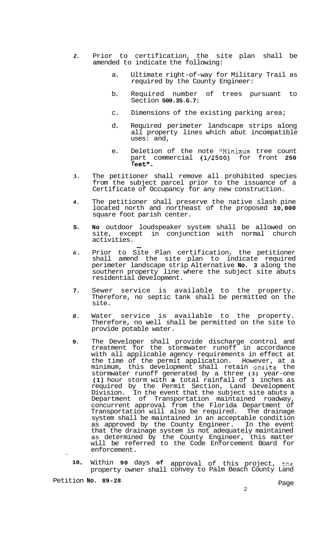- *2.* Prior to certification, the site plan shall be amended to indicate the following:
	- a. Ultimate right-of-way for Military Trail as required by the County Engineer:
	- b. Required number of trees pursuant to Section **500.35.G.7:**
	- c. Dimensions of the existing parking area;
	- d. Required perimeter landscape strips along all property lines which abut incompatible uses: and,
	- e. Deletion of the note "Minimum tree count part commercial **(1/2500)** for front **250**  feet".
- **3.** The petitioner shall remove all prohibited species from the subject parcel prior to the issuance of a Certificate of Occupancy for any new construction.
- **4.** The petitioner shall preserve the native slash pine located north and northeast of the proposed **10,000**  square foot parish center.
- **5. No** outdoor loudspeaker system shall be allowed on site, except in conjunction with normal church activities.  $\frac{1}{2}$
- *6.* Prior to Site Plan certification, the petitioner shall amend the site plan to indicate required perimeter landscape strip Alternative **No. 3** along the southern property line where the subject site abuts residential development.
- **7.** Sewer service is available to the property. Therefore, no septic tank shall be permitted on the site.
- 8. Water service is available to the property. Therefore, no well shall be permitted on the site to provide potable water.
- **9.**  The Developer shall provide discharge control and treatment for the stormwater runoff in accordance with all applicable agency requirements in effect at the time of the permit application. However, at a minimum, this development shall retain onsite the stormwater runoff generated by a three **(3)** year-one **(1)** hour storm with **a** total rainfall of **3** inches as required by the Permit Section, Land Development Division. In the event that the subject site abuts a Department of Transportation maintained roadway, concurrent approval from the Florida Department of Transportation will also be required. The drainage system shall be maintained in an acceptable condition as approved by the County Engineer. In the event that the drainage system is not adequately maintained as determined by the County Engineer, this matter will be referred to the Code Enforcement Board for enforcement.
- - **10**  Within **90** days **of** approval of this project, the property owner shall convey to Palm Beach County Land

Petition **No. 89-28** Page

2